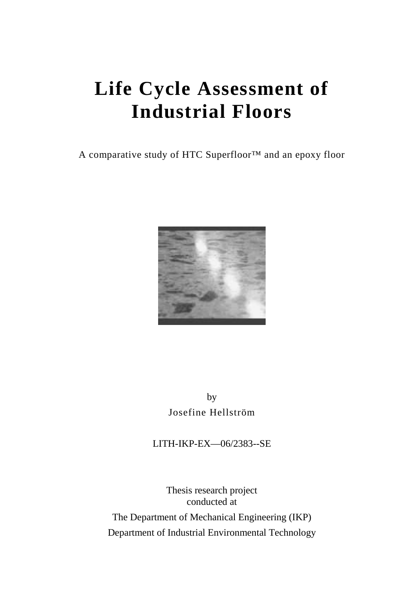# **Life Cycle Assessment of Industrial Floors**

A comparative study of HTC Superfloor™ and an epoxy floor



by Josefine Hellström

LITH-IKP-EX—06/2383--SE

Thesis research project conducted at

The Department of Mechanical Engineering (IKP) Department of Industrial Environmental Technology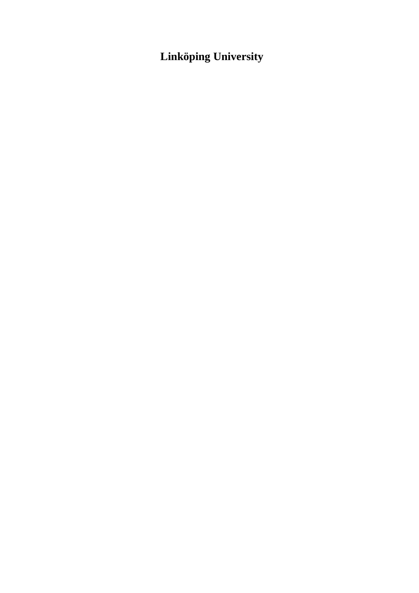## **Linköping University**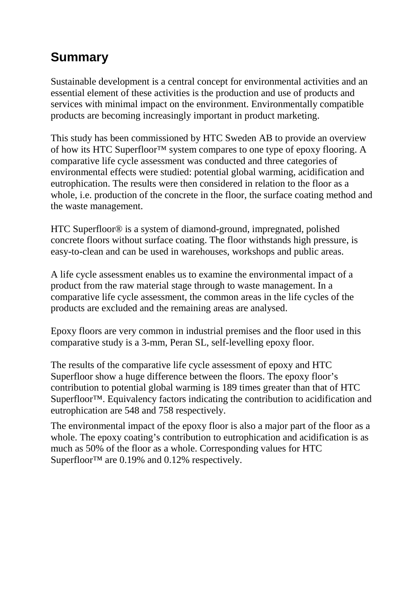## **Summary**

Sustainable development is a central concept for environmental activities and an essential element of these activities is the production and use of products and services with minimal impact on the environment. Environmentally compatible products are becoming increasingly important in product marketing.

This study has been commissioned by HTC Sweden AB to provide an overview of how its HTC Superfloor™ system compares to one type of epoxy flooring. A comparative life cycle assessment was conducted and three categories of environmental effects were studied: potential global warming, acidification and eutrophication. The results were then considered in relation to the floor as a whole, i.e. production of the concrete in the floor, the surface coating method and the waste management.

HTC Superfloor® is a system of diamond-ground, impregnated, polished concrete floors without surface coating. The floor withstands high pressure, is easy-to-clean and can be used in warehouses, workshops and public areas.

A life cycle assessment enables us to examine the environmental impact of a product from the raw material stage through to waste management. In a comparative life cycle assessment, the common areas in the life cycles of the products are excluded and the remaining areas are analysed.

Epoxy floors are very common in industrial premises and the floor used in this comparative study is a 3-mm, Peran SL, self-levelling epoxy floor.

The results of the comparative life cycle assessment of epoxy and HTC Superfloor show a huge difference between the floors. The epoxy floor's contribution to potential global warming is 189 times greater than that of HTC Superfloor™. Equivalency factors indicating the contribution to acidification and eutrophication are 548 and 758 respectively.

The environmental impact of the epoxy floor is also a major part of the floor as a whole. The epoxy coating's contribution to eutrophication and acidification is as much as 50% of the floor as a whole. Corresponding values for HTC Superfloor<sup>™</sup> are 0.19% and 0.12% respectively.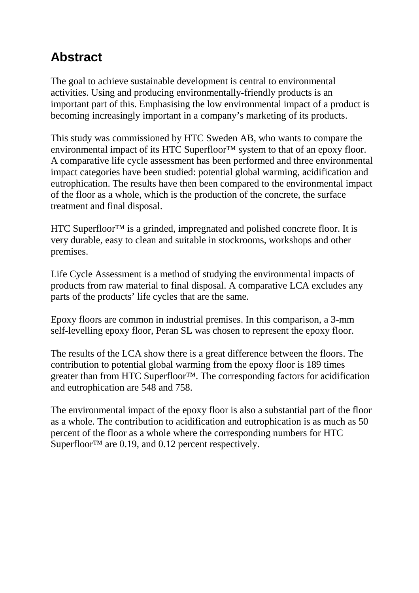## **Abstract**

The goal to achieve sustainable development is central to environmental activities. Using and producing environmentally-friendly products is an important part of this. Emphasising the low environmental impact of a product is becoming increasingly important in a company's marketing of its products.

This study was commissioned by HTC Sweden AB, who wants to compare the environmental impact of its HTC Superfloor™ system to that of an epoxy floor. A comparative life cycle assessment has been performed and three environmental impact categories have been studied: potential global warming, acidification and eutrophication. The results have then been compared to the environmental impact of the floor as a whole, which is the production of the concrete, the surface treatment and final disposal.

HTC Superfloor™ is a grinded, impregnated and polished concrete floor. It is very durable, easy to clean and suitable in stockrooms, workshops and other premises.

Life Cycle Assessment is a method of studying the environmental impacts of products from raw material to final disposal. A comparative LCA excludes any parts of the products' life cycles that are the same.

Epoxy floors are common in industrial premises. In this comparison, a 3-mm self-levelling epoxy floor, Peran SL was chosen to represent the epoxy floor.

The results of the LCA show there is a great difference between the floors. The contribution to potential global warming from the epoxy floor is 189 times greater than from HTC Superfloor™. The corresponding factors for acidification and eutrophication are 548 and 758.

The environmental impact of the epoxy floor is also a substantial part of the floor as a whole. The contribution to acidification and eutrophication is as much as 50 percent of the floor as a whole where the corresponding numbers for HTC Superfloor<sup>™</sup> are 0.19, and 0.12 percent respectively.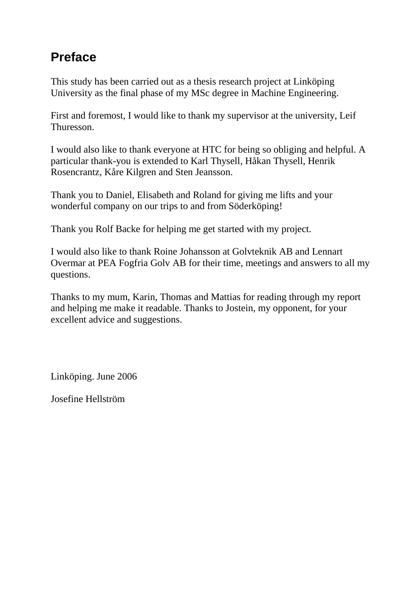## **Preface**

This study has been carried out as a thesis research project at Linköping University as the final phase of my MSc degree in Machine Engineering.

First and foremost, I would like to thank my supervisor at the university, Leif **Thuresson** 

I would also like to thank everyone at HTC for being so obliging and helpful. A particular thank-you is extended to Karl Thysell, Håkan Thysell, Henrik Rosencrantz, Kåre Kilgren and Sten Jeansson.

Thank you to Daniel, Elisabeth and Roland for giving me lifts and your wonderful company on our trips to and from Söderköping!

Thank you Rolf Backe for helping me get started with my project.

I would also like to thank Roine Johansson at Golvteknik AB and Lennart Overmar at PEA Fogfria Golv AB for their time, meetings and answers to all my questions.

Thanks to my mum, Karin, Thomas and Mattias for reading through my report and helping me make it readable. Thanks to Jostein, my opponent, for your excellent advice and suggestions.

Linköping. June 2006

Josefine Hellström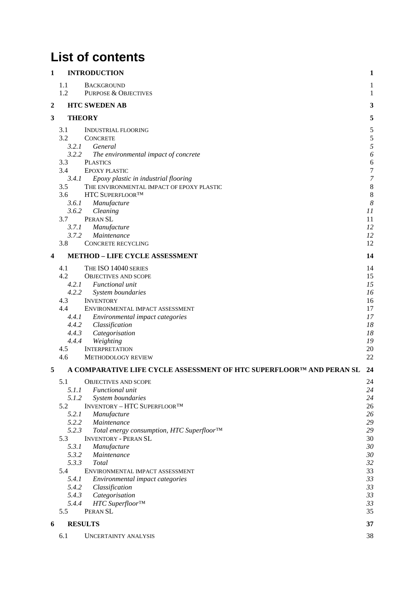## **List of contents**

| 1 |                | <b>INTRODUCTION</b>                                                 | 1              |
|---|----------------|---------------------------------------------------------------------|----------------|
|   | 1.1            | <b>BACKGROUND</b>                                                   | 1              |
|   | 1.2            | <b>PURPOSE &amp; OBJECTIVES</b>                                     | 1              |
| 2 |                | <b>HTC SWEDEN AB</b>                                                | 3              |
| 3 | <b>THEORY</b>  |                                                                     | 5              |
|   |                |                                                                     |                |
|   | 3.1<br>3.2     | INDUSTRIAL FLOORING                                                 | 5              |
|   | 3.2.1          | <b>CONCRETE</b><br>General                                          | 5<br>5         |
|   | 3.2.2          | The environmental impact of concrete                                | 6              |
|   | 3.3            | <b>PLASTICS</b>                                                     | 6              |
|   | 3.4            | <b>EPOXY PLASTIC</b>                                                | $\overline{7}$ |
|   | 3.4.1          | Epoxy plastic in industrial flooring                                | $\overline{7}$ |
|   | 3.5            | THE ENVIRONMENTAL IMPACT OF EPOXY PLASTIC                           | 8              |
|   | 3.6            | HTC SUPERFLOOR <sup>TM</sup>                                        | 8              |
|   | 3.6.1          | Manufacture                                                         | 8              |
|   | 3.6.2          | Cleaning                                                            | 11             |
|   | 3.7            | PERAN SL                                                            | 11             |
|   | 3.7.1<br>3.7.2 | Manufacture                                                         | 12<br>12       |
|   | 3.8            | Maintenance<br><b>CONCRETE RECYCLING</b>                            | 12             |
|   |                |                                                                     |                |
| 4 |                | <b>METHOD - LIFE CYCLE ASSESSMENT</b>                               | 14             |
|   | 4.1            | THE ISO 14040 SERIES                                                | 14             |
|   | 4.2            | <b>OBJECTIVES AND SCOPE</b>                                         | 15             |
|   | 4.2.1          | Functional unit                                                     | 15             |
|   | 4.2.2          | System boundaries                                                   | 16             |
|   | 4.3            | <b>INVENTORY</b>                                                    | 16             |
|   | 4.4            | ENVIRONMENTAL IMPACT ASSESSMENT                                     | 17             |
|   | 4.4.1          | Environmental impact categories                                     | 17             |
|   | 4.4.2<br>4.4.3 | Classification                                                      | 18<br>18       |
|   | 4.4.4          | Categorisation<br>Weighting                                         | 19             |
|   | 4.5            | <b>INTERPRETATION</b>                                               | 20             |
|   | 4.6            | <b>METHODOLOGY REVIEW</b>                                           | 22             |
|   |                |                                                                     |                |
| 5 |                | A COMPARATIVE LIFE CYCLE ASSESSMENT OF HTC SUPERFLOOR™ AND PERAN SL | 24             |
|   | 5.1            | <b>OBJECTIVES AND SCOPE</b>                                         | 24             |
|   | 5.1.1          | Functional unit                                                     | 24             |
|   | 5.1.2          | System boundaries                                                   | 24             |
|   | 5.2            | $INVENTORY - HTC SUPERFLOOR^{TM}$                                   | 26             |
|   | 5.2.1<br>5.2.2 | Manufacture<br>Maintenance                                          | 26<br>29       |
|   | 5.2.3          | Total energy consumption, HTC Superfloor™                           | 29             |
|   | 5.3            | <b>INVENTORY - PERAN SL</b>                                         | 30             |
|   | 5.3.1          | Manufacture                                                         | 30             |
|   | 5.3.2          | Maintenance                                                         | 30             |
|   | 5.3.3          | Total                                                               | 32             |
|   | 5.4            | ENVIRONMENTAL IMPACT ASSESSMENT                                     | 33             |
|   | 5.4.1          | Environmental impact categories                                     | 33             |
|   | 5.4.2          | Classification                                                      | 33             |
|   | 5.4.3          | Categorisation                                                      | 33             |
|   | 5.4.4          | HTC Superfloor™                                                     | 33             |
|   | 5.5            | PERAN SL                                                            | 35             |
| 6 |                | <b>RESULTS</b>                                                      | 37             |
|   | 6.1            | UNCERTAINTY ANALYSIS                                                | 38             |
|   |                |                                                                     |                |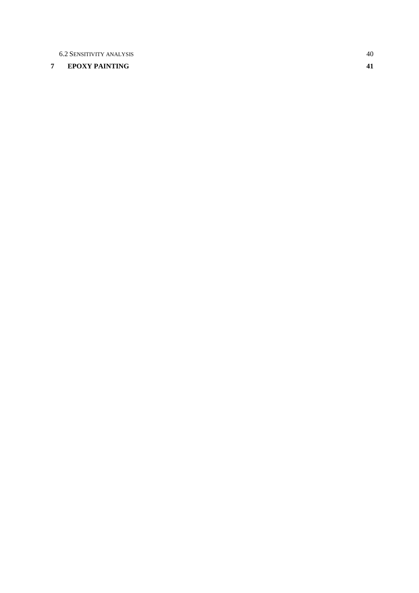6.2 SENSITIVITY ANALYSIS 40

#### **7 EPOXY PAINTING 41**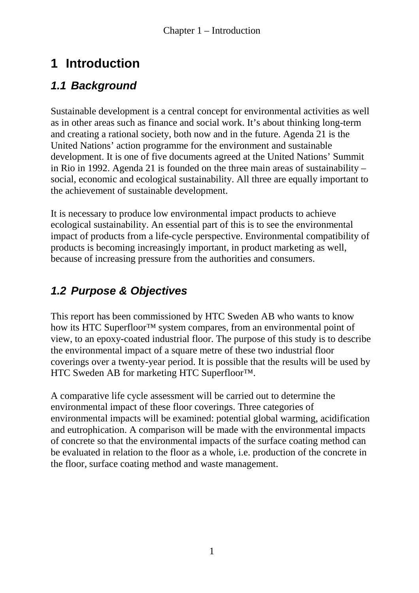## **1 Introduction**

### **1.1 Background**

Sustainable development is a central concept for environmental activities as well as in other areas such as finance and social work. It's about thinking long-term and creating a rational society, both now and in the future. Agenda 21 is the United Nations' action programme for the environment and sustainable development. It is one of five documents agreed at the United Nations' Summit in Rio in 1992. Agenda 21 is founded on the three main areas of sustainability – social, economic and ecological sustainability. All three are equally important to the achievement of sustainable development.

It is necessary to produce low environmental impact products to achieve ecological sustainability. An essential part of this is to see the environmental impact of products from a life-cycle perspective. Environmental compatibility of products is becoming increasingly important, in product marketing as well, because of increasing pressure from the authorities and consumers.

### **1.2 Purpose & Objectives**

This report has been commissioned by HTC Sweden AB who wants to know how its HTC Superfloor™ system compares, from an environmental point of view, to an epoxy-coated industrial floor. The purpose of this study is to describe the environmental impact of a square metre of these two industrial floor coverings over a twenty-year period. It is possible that the results will be used by HTC Sweden AB for marketing HTC Superfloor™.

A comparative life cycle assessment will be carried out to determine the environmental impact of these floor coverings. Three categories of environmental impacts will be examined: potential global warming, acidification and eutrophication. A comparison will be made with the environmental impacts of concrete so that the environmental impacts of the surface coating method can be evaluated in relation to the floor as a whole, i.e. production of the concrete in the floor, surface coating method and waste management.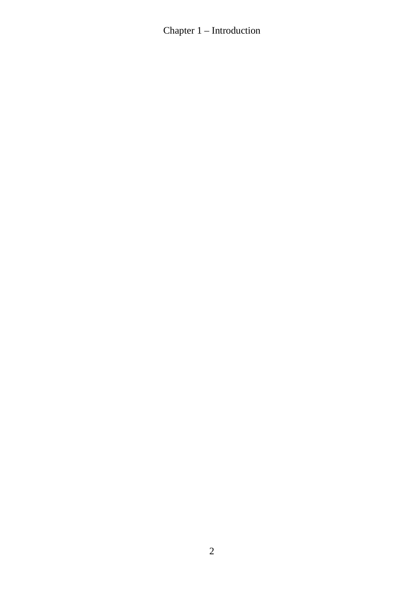### Chapter 1 – Introduction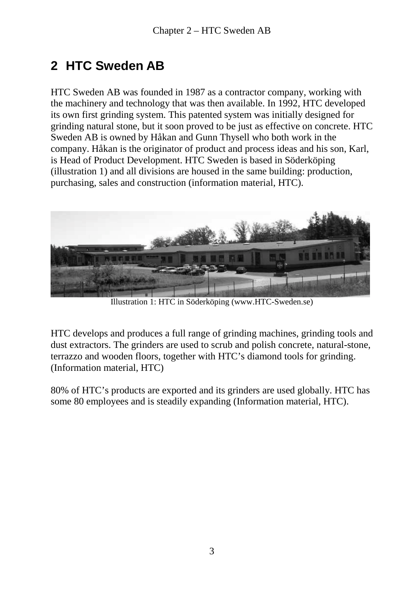## **2 HTC Sweden AB**

HTC Sweden AB was founded in 1987 as a contractor company, working with the machinery and technology that was then available. In 1992, HTC developed its own first grinding system. This patented system was initially designed for grinding natural stone, but it soon proved to be just as effective on concrete. HTC Sweden AB is owned by Håkan and Gunn Thysell who both work in the company. Håkan is the originator of product and process ideas and his son, Karl, is Head of Product Development. HTC Sweden is based in Söderköping (illustration 1) and all divisions are housed in the same building: production, purchasing, sales and construction (information material, HTC).



Illustration 1: HTC in Söderköping (www.HTC-Sweden.se)

HTC develops and produces a full range of grinding machines, grinding tools and dust extractors. The grinders are used to scrub and polish concrete, natural-stone, terrazzo and wooden floors, together with HTC's diamond tools for grinding. (Information material, HTC)

80% of HTC's products are exported and its grinders are used globally. HTC has some 80 employees and is steadily expanding (Information material, HTC).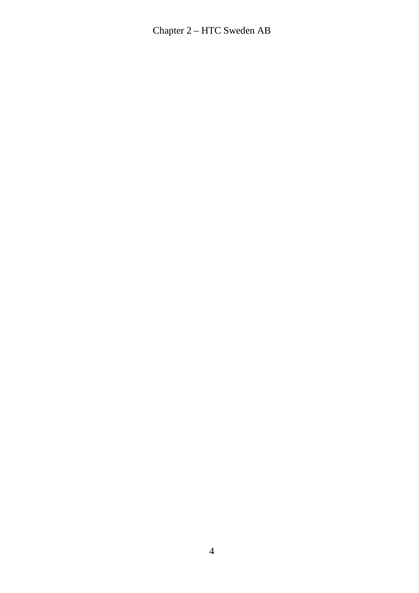### Chapter 2 – HTC Sweden AB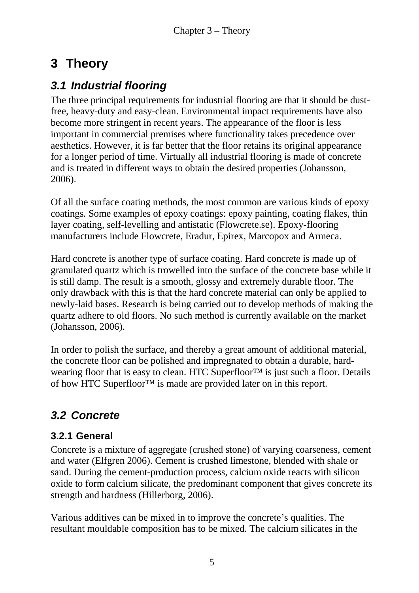## **3 Theory**

### **3.1 Industrial flooring**

The three principal requirements for industrial flooring are that it should be dustfree, heavy-duty and easy-clean. Environmental impact requirements have also become more stringent in recent years. The appearance of the floor is less important in commercial premises where functionality takes precedence over aesthetics. However, it is far better that the floor retains its original appearance for a longer period of time. Virtually all industrial flooring is made of concrete and is treated in different ways to obtain the desired properties (Johansson, 2006).

Of all the surface coating methods, the most common are various kinds of epoxy coatings*.* Some examples of epoxy coatings: epoxy painting, coating flakes, thin layer coating, self-levelling and antistatic (Flowcrete.se). Epoxy-flooring manufacturers include Flowcrete, Eradur, Epirex, Marcopox and Armeca.

Hard concrete is another type of surface coating. Hard concrete is made up of granulated quartz which is trowelled into the surface of the concrete base while it is still damp. The result is a smooth, glossy and extremely durable floor. The only drawback with this is that the hard concrete material can only be applied to newly-laid bases. Research is being carried out to develop methods of making the quartz adhere to old floors. No such method is currently available on the market (Johansson, 2006).

In order to polish the surface, and thereby a great amount of additional material, the concrete floor can be polished and impregnated to obtain a durable, hardwearing floor that is easy to clean. HTC Superfloor™ is just such a floor. Details of how HTC Superfloor™ is made are provided later on in this report.

### **3.2 Concrete**

### **3.2.1 General**

Concrete is a mixture of aggregate (crushed stone) of varying coarseness, cement and water (Elfgren 2006). Cement is crushed limestone, blended with shale or sand. During the cement-production process, calcium oxide reacts with silicon oxide to form calcium silicate, the predominant component that gives concrete its strength and hardness (Hillerborg, 2006).

Various additives can be mixed in to improve the concrete's qualities. The resultant mouldable composition has to be mixed. The calcium silicates in the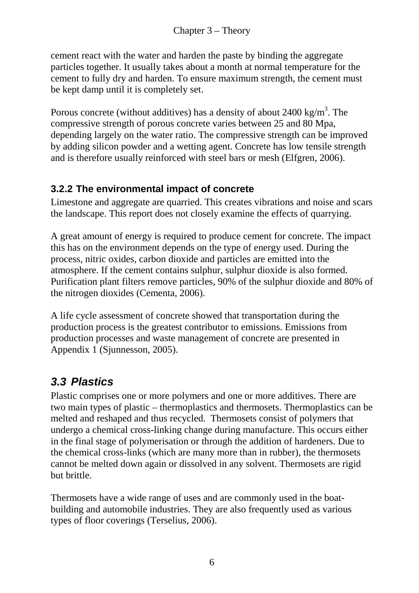cement react with the water and harden the paste by binding the aggregate particles together. It usually takes about a month at normal temperature for the cement to fully dry and harden. To ensure maximum strength, the cement must be kept damp until it is completely set.

Porous concrete (without additives) has a density of about  $2400 \text{ kg/m}^3$ . The compressive strength of porous concrete varies between 25 and 80 Mpa, depending largely on the water ratio. The compressive strength can be improved by adding silicon powder and a wetting agent. Concrete has low tensile strength and is therefore usually reinforced with steel bars or mesh (Elfgren, 2006).

#### **3.2.2 The environmental impact of concrete**

Limestone and aggregate are quarried. This creates vibrations and noise and scars the landscape. This report does not closely examine the effects of quarrying.

A great amount of energy is required to produce cement for concrete. The impact this has on the environment depends on the type of energy used. During the process, nitric oxides, carbon dioxide and particles are emitted into the atmosphere. If the cement contains sulphur, sulphur dioxide is also formed. Purification plant filters remove particles, 90% of the sulphur dioxide and 80% of the nitrogen dioxides (Cementa, 2006).

A life cycle assessment of concrete showed that transportation during the production process is the greatest contributor to emissions. Emissions from production processes and waste management of concrete are presented in Appendix 1 (Sjunnesson, 2005).

### **3.3 Plastics**

Plastic comprises one or more polymers and one or more additives. There are two main types of plastic – thermoplastics and thermosets. Thermoplastics can be melted and reshaped and thus recycled. Thermosets consist of polymers that undergo a chemical cross-linking change during manufacture. This occurs either in the final stage of polymerisation or through the addition of hardeners. Due to the chemical cross-links (which are many more than in rubber), the thermosets cannot be melted down again or dissolved in any solvent. Thermosets are rigid but brittle.

Thermosets have a wide range of uses and are commonly used in the boatbuilding and automobile industries. They are also frequently used as various types of floor coverings (Terselius, 2006).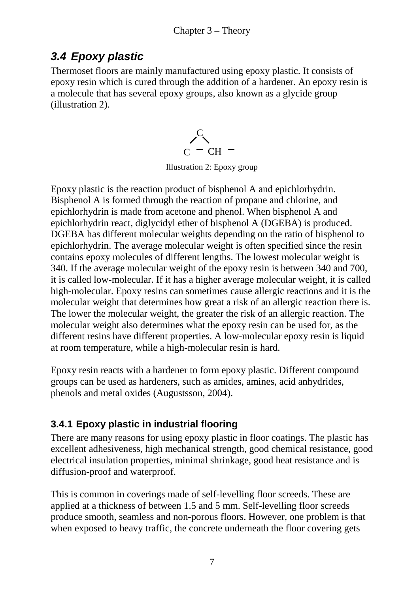### **3.4 Epoxy plastic**

Thermoset floors are mainly manufactured using epoxy plastic. It consists of epoxy resin which is cured through the addition of a hardener. An epoxy resin is a molecule that has several epoxy groups, also known as a glycide group (illustration 2).

 C  $\overline{C}$  $-$  CH  $-$ 

Illustration 2: Epoxy group

Epoxy plastic is the reaction product of bisphenol A and epichlorhydrin. Bisphenol A is formed through the reaction of propane and chlorine, and epichlorhydrin is made from acetone and phenol. When bisphenol A and epichlorhydrin react, diglycidyl ether of bisphenol A (DGEBA) is produced. DGEBA has different molecular weights depending on the ratio of bisphenol to epichlorhydrin. The average molecular weight is often specified since the resin contains epoxy molecules of different lengths. The lowest molecular weight is 340. If the average molecular weight of the epoxy resin is between 340 and 700, it is called low-molecular. If it has a higher average molecular weight, it is called high-molecular. Epoxy resins can sometimes cause allergic reactions and it is the molecular weight that determines how great a risk of an allergic reaction there is. The lower the molecular weight, the greater the risk of an allergic reaction. The molecular weight also determines what the epoxy resin can be used for, as the different resins have different properties. A low-molecular epoxy resin is liquid at room temperature, while a high-molecular resin is hard.

Epoxy resin reacts with a hardener to form epoxy plastic. Different compound groups can be used as hardeners, such as amides, amines, acid anhydrides, phenols and metal oxides (Augustsson, 2004).

### **3.4.1 Epoxy plastic in industrial flooring**

There are many reasons for using epoxy plastic in floor coatings. The plastic has excellent adhesiveness, high mechanical strength, good chemical resistance, good electrical insulation properties, minimal shrinkage, good heat resistance and is diffusion-proof and waterproof.

This is common in coverings made of self-levelling floor screeds. These are applied at a thickness of between 1.5 and 5 mm. Self-levelling floor screeds produce smooth, seamless and non-porous floors. However, one problem is that when exposed to heavy traffic, the concrete underneath the floor covering gets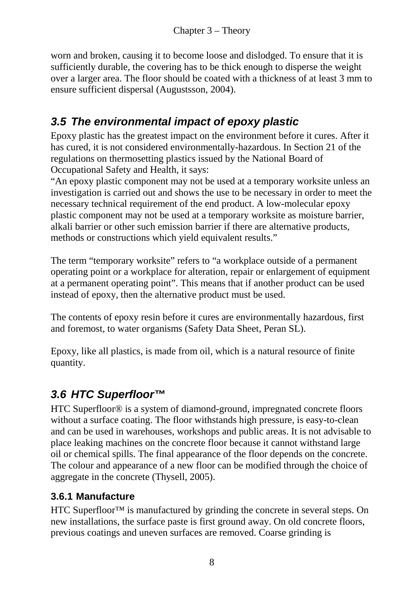worn and broken, causing it to become loose and dislodged. To ensure that it is sufficiently durable, the covering has to be thick enough to disperse the weight over a larger area. The floor should be coated with a thickness of at least 3 mm to ensure sufficient dispersal (Augustsson, 2004).

## **3.5 The environmental impact of epoxy plastic**

Epoxy plastic has the greatest impact on the environment before it cures. After it has cured, it is not considered environmentally-hazardous. In Section 21 of the regulations on thermosetting plastics issued by the National Board of Occupational Safety and Health, it says:

"An epoxy plastic component may not be used at a temporary worksite unless an investigation is carried out and shows the use to be necessary in order to meet the necessary technical requirement of the end product. A low-molecular epoxy plastic component may not be used at a temporary worksite as moisture barrier, alkali barrier or other such emission barrier if there are alternative products, methods or constructions which yield equivalent results."

The term "temporary worksite" refers to "a workplace outside of a permanent operating point or a workplace for alteration, repair or enlargement of equipment at a permanent operating point". This means that if another product can be used instead of epoxy, then the alternative product must be used.

The contents of epoxy resin before it cures are environmentally hazardous, first and foremost, to water organisms (Safety Data Sheet, Peran SL).

Epoxy, like all plastics, is made from oil, which is a natural resource of finite quantity.

## **3.6 HTC Superfloor™**

HTC Superfloor® is a system of diamond-ground, impregnated concrete floors without a surface coating. The floor withstands high pressure, is easy-to-clean and can be used in warehouses, workshops and public areas. It is not advisable to place leaking machines on the concrete floor because it cannot withstand large oil or chemical spills. The final appearance of the floor depends on the concrete. The colour and appearance of a new floor can be modified through the choice of aggregate in the concrete (Thysell, 2005).

### **3.6.1 Manufacture**

HTC Superfloor™ is manufactured by grinding the concrete in several steps. On new installations, the surface paste is first ground away. On old concrete floors, previous coatings and uneven surfaces are removed. Coarse grinding is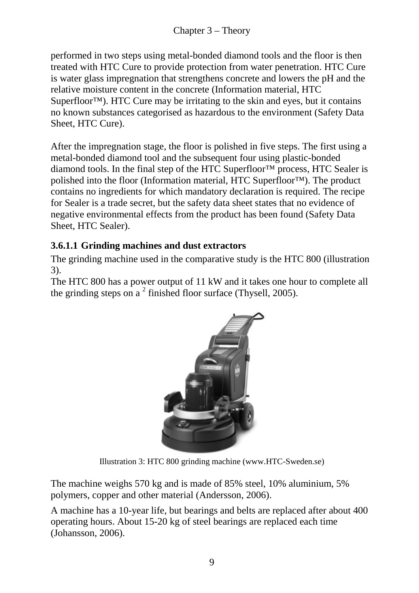performed in two steps using metal-bonded diamond tools and the floor is then treated with HTC Cure to provide protection from water penetration. HTC Cure is water glass impregnation that strengthens concrete and lowers the pH and the relative moisture content in the concrete (Information material, HTC Superfloor<sup>TM</sup>). HTC Cure may be irritating to the skin and eyes, but it contains no known substances categorised as hazardous to the environment (Safety Data Sheet, HTC Cure).

After the impregnation stage, the floor is polished in five steps. The first using a metal-bonded diamond tool and the subsequent four using plastic-bonded diamond tools. In the final step of the HTC Superfloor™ process, HTC Sealer is polished into the floor (Information material, HTC Superfloor™). The product contains no ingredients for which mandatory declaration is required. The recipe for Sealer is a trade secret, but the safety data sheet states that no evidence of negative environmental effects from the product has been found (Safety Data Sheet, HTC Sealer).

#### **3.6.1.1 Grinding machines and dust extractors**

The grinding machine used in the comparative study is the HTC 800 (illustration 3).

The HTC 800 has a power output of 11 kW and it takes one hour to complete all the grinding steps on a  $2$  finished floor surface (Thysell, 2005).



Illustration 3: HTC 800 grinding machine (www.HTC-Sweden.se)

The machine weighs 570 kg and is made of 85% steel, 10% aluminium, 5% polymers, copper and other material (Andersson, 2006).

A machine has a 10-year life, but bearings and belts are replaced after about 400 operating hours. About 15-20 kg of steel bearings are replaced each time (Johansson, 2006).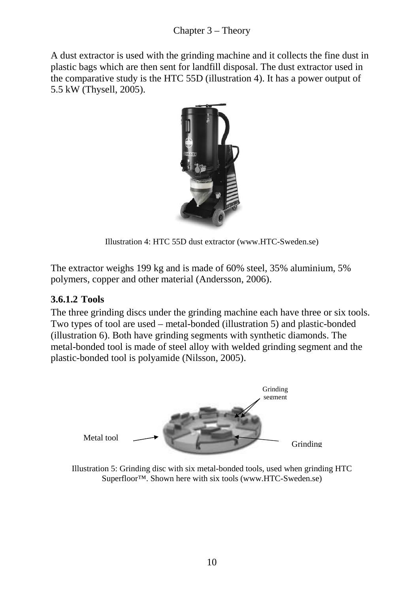A dust extractor is used with the grinding machine and it collects the fine dust in plastic bags which are then sent for landfill disposal. The dust extractor used in the comparative study is the HTC 55D (illustration 4). It has a power output of 5.5 kW (Thysell, 2005).



Illustration 4: HTC 55D dust extractor (www.HTC-Sweden.se)

The extractor weighs 199 kg and is made of 60% steel, 35% aluminium, 5% polymers, copper and other material (Andersson, 2006).

#### **3.6.1.2 Tools**

The three grinding discs under the grinding machine each have three or six tools. Two types of tool are used – metal-bonded (illustration 5) and plastic-bonded (illustration 6). Both have grinding segments with synthetic diamonds. The metal-bonded tool is made of steel alloy with welded grinding segment and the plastic-bonded tool is polyamide (Nilsson, 2005).



Illustration 5: Grinding disc with six metal-bonded tools, used when grinding HTC Superfloor™. Shown here with six tools (www.HTC-Sweden.se)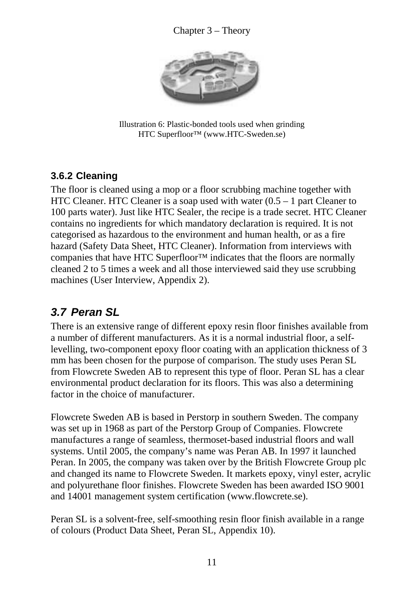#### Chapter 3 – Theory



Illustration 6: Plastic-bonded tools used when grinding HTC Superfloor™ (www.HTC-Sweden.se)

### **3.6.2 Cleaning**

The floor is cleaned using a mop or a floor scrubbing machine together with HTC Cleaner. HTC Cleaner is a soap used with water  $(0.5 - 1$  part Cleaner to 100 parts water). Just like HTC Sealer, the recipe is a trade secret. HTC Cleaner contains no ingredients for which mandatory declaration is required. It is not categorised as hazardous to the environment and human health, or as a fire hazard (Safety Data Sheet, HTC Cleaner). Information from interviews with companies that have HTC Superfloor<sup>™</sup> indicates that the floors are normally cleaned 2 to 5 times a week and all those interviewed said they use scrubbing machines (User Interview, Appendix 2).

### **3.7 Peran SL**

There is an extensive range of different epoxy resin floor finishes available from a number of different manufacturers. As it is a normal industrial floor, a selflevelling, two-component epoxy floor coating with an application thickness of 3 mm has been chosen for the purpose of comparison. The study uses Peran SL from Flowcrete Sweden AB to represent this type of floor. Peran SL has a clear environmental product declaration for its floors. This was also a determining factor in the choice of manufacturer.

Flowcrete Sweden AB is based in Perstorp in southern Sweden. The company was set up in 1968 as part of the Perstorp Group of Companies. Flowcrete manufactures a range of seamless, thermoset-based industrial floors and wall systems. Until 2005, the company's name was Peran AB. In 1997 it launched Peran. In 2005, the company was taken over by the British Flowcrete Group plc and changed its name to Flowcrete Sweden. It markets epoxy, vinyl ester, acrylic and polyurethane floor finishes. Flowcrete Sweden has been awarded ISO 9001 and 14001 management system certification (www.flowcrete.se).

Peran SL is a solvent-free, self-smoothing resin floor finish available in a range of colours (Product Data Sheet, Peran SL, Appendix 10).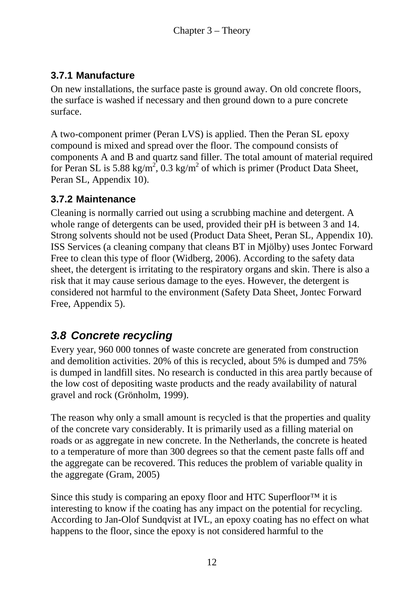### **3.7.1 Manufacture**

On new installations, the surface paste is ground away. On old concrete floors, the surface is washed if necessary and then ground down to a pure concrete surface.

A two-component primer (Peran LVS) is applied. Then the Peran SL epoxy compound is mixed and spread over the floor. The compound consists of components A and B and quartz sand filler. The total amount of material required for Peran SL is 5.88 kg/m<sup>2</sup>, 0.3 kg/m<sup>2</sup> of which is primer (Product Data Sheet, Peran SL, Appendix 10).

#### **3.7.2 Maintenance**

Cleaning is normally carried out using a scrubbing machine and detergent. A whole range of detergents can be used, provided their pH is between 3 and 14. Strong solvents should not be used (Product Data Sheet, Peran SL, Appendix 10). ISS Services (a cleaning company that cleans BT in Mjölby) uses Jontec Forward Free to clean this type of floor (Widberg, 2006). According to the safety data sheet, the detergent is irritating to the respiratory organs and skin. There is also a risk that it may cause serious damage to the eyes. However, the detergent is considered not harmful to the environment (Safety Data Sheet, Jontec Forward Free, Appendix 5).

### **3.8 Concrete recycling**

Every year, 960 000 tonnes of waste concrete are generated from construction and demolition activities. 20% of this is recycled, about 5% is dumped and 75% is dumped in landfill sites. No research is conducted in this area partly because of the low cost of depositing waste products and the ready availability of natural gravel and rock (Grönholm, 1999).

The reason why only a small amount is recycled is that the properties and quality of the concrete vary considerably. It is primarily used as a filling material on roads or as aggregate in new concrete. In the Netherlands, the concrete is heated to a temperature of more than 300 degrees so that the cement paste falls off and the aggregate can be recovered. This reduces the problem of variable quality in the aggregate (Gram, 2005)

Since this study is comparing an epoxy floor and HTC Superfloor<sup>TM</sup> it is interesting to know if the coating has any impact on the potential for recycling. According to Jan-Olof Sundqvist at IVL, an epoxy coating has no effect on what happens to the floor, since the epoxy is not considered harmful to the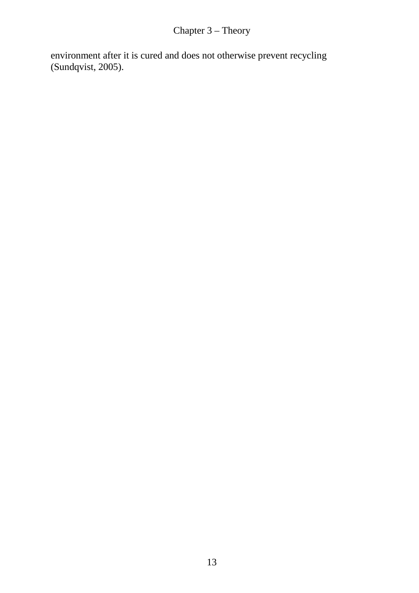environment after it is cured and does not otherwise prevent recycling (Sundqvist, 2005).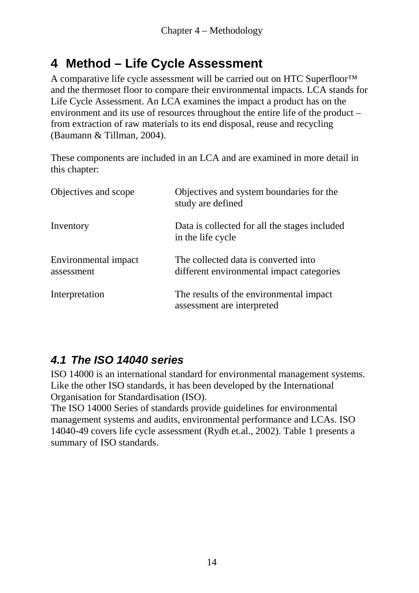## **4 Method – Life Cycle Assessment**

A comparative life cycle assessment will be carried out on HTC Superfloor™ and the thermoset floor to compare their environmental impacts. LCA stands for Life Cycle Assessment. An LCA examines the impact a product has on the environment and its use of resources throughout the entire life of the product – from extraction of raw materials to its end disposal, reuse and recycling (Baumann & Tillman, 2004).

These components are included in an LCA and are examined in more detail in this chapter:

| Objectives and scope               | Objectives and system boundaries for the<br>study are defined                     |
|------------------------------------|-----------------------------------------------------------------------------------|
| Inventory                          | Data is collected for all the stages included<br>in the life cycle                |
| Environmental impact<br>assessment | The collected data is converted into<br>different environmental impact categories |
| Interpretation                     | The results of the environmental impact<br>assessment are interpreted             |

### **4.1 The ISO 14040 series**

ISO 14000 is an international standard for environmental management systems. Like the other ISO standards, it has been developed by the International Organisation for Standardisation (ISO).

The ISO 14000 Series of standards provide guidelines for environmental management systems and audits, environmental performance and LCAs. ISO 14040-49 covers life cycle assessment (Rydh et.al., 2002). Table 1 presents a summary of ISO standards.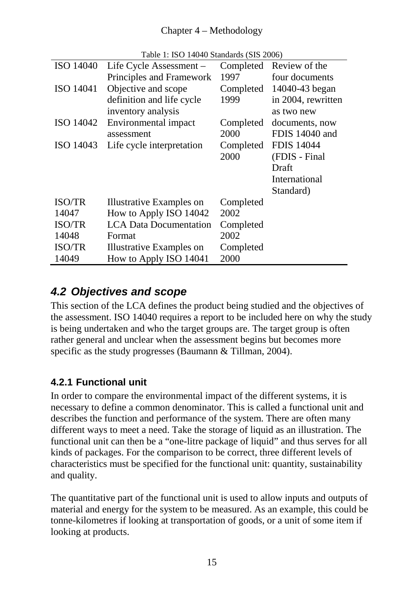#### Chapter 4 – Methodology

| ISO 14040 | Life Cycle Assessment -       | Completed | Review of the      |
|-----------|-------------------------------|-----------|--------------------|
|           | Principles and Framework      | 1997      | four documents     |
| ISO 14041 | Objective and scope           | Completed | 14040-43 began     |
|           | definition and life cycle     | 1999      | in 2004, rewritten |
|           | inventory analysis            |           | as two new         |
| ISO 14042 | Environmental impact          | Completed | documents, now     |
|           | assessment                    | 2000      | FDIS 14040 and     |
| ISO 14043 | Life cycle interpretation     | Completed | <b>FDIS 14044</b>  |
|           |                               | 2000      | (FDIS - Final      |
|           |                               |           | Draft              |
|           |                               |           | International      |
|           |                               |           | Standard)          |
| ISO/TR    | Illustrative Examples on      | Completed |                    |
| 14047     | How to Apply ISO 14042        | 2002      |                    |
| ISO/TR    | <b>LCA Data Documentation</b> | Completed |                    |
| 14048     | Format                        | 2002      |                    |
| ISO/TR    | Illustrative Examples on      | Completed |                    |
| 14049     | How to Apply ISO 14041        | 2000      |                    |
|           |                               |           |                    |

Table 1: ISO 14040 Standards (SIS 2006)

### **4.2 Objectives and scope**

This section of the LCA defines the product being studied and the objectives of the assessment. ISO 14040 requires a report to be included here on why the study is being undertaken and who the target groups are. The target group is often rather general and unclear when the assessment begins but becomes more specific as the study progresses (Baumann & Tillman, 2004).

#### **4.2.1 Functional unit**

In order to compare the environmental impact of the different systems, it is necessary to define a common denominator. This is called a functional unit and describes the function and performance of the system. There are often many different ways to meet a need. Take the storage of liquid as an illustration. The functional unit can then be a "one-litre package of liquid" and thus serves for all kinds of packages. For the comparison to be correct, three different levels of characteristics must be specified for the functional unit: quantity, sustainability and quality.

The quantitative part of the functional unit is used to allow inputs and outputs of material and energy for the system to be measured. As an example, this could be tonne-kilometres if looking at transportation of goods, or a unit of some item if looking at products.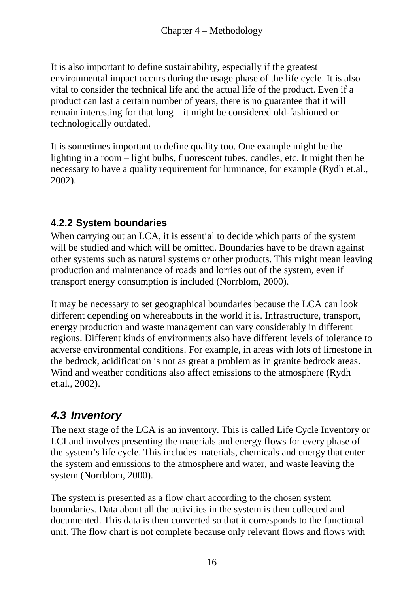It is also important to define sustainability, especially if the greatest environmental impact occurs during the usage phase of the life cycle. It is also vital to consider the technical life and the actual life of the product. Even if a product can last a certain number of years, there is no guarantee that it will remain interesting for that long – it might be considered old-fashioned or technologically outdated.

It is sometimes important to define quality too. One example might be the lighting in a room – light bulbs, fluorescent tubes, candles, etc. It might then be necessary to have a quality requirement for luminance, for example (Rydh et.al., 2002).

### **4.2.2 System boundaries**

When carrying out an LCA, it is essential to decide which parts of the system will be studied and which will be omitted. Boundaries have to be drawn against other systems such as natural systems or other products. This might mean leaving production and maintenance of roads and lorries out of the system, even if transport energy consumption is included (Norrblom, 2000).

It may be necessary to set geographical boundaries because the LCA can look different depending on whereabouts in the world it is. Infrastructure, transport, energy production and waste management can vary considerably in different regions. Different kinds of environments also have different levels of tolerance to adverse environmental conditions. For example, in areas with lots of limestone in the bedrock, acidification is not as great a problem as in granite bedrock areas. Wind and weather conditions also affect emissions to the atmosphere (Rydh et.al., 2002).

## **4.3 Inventory**

The next stage of the LCA is an inventory. This is called Life Cycle Inventory or LCI and involves presenting the materials and energy flows for every phase of the system's life cycle. This includes materials, chemicals and energy that enter the system and emissions to the atmosphere and water, and waste leaving the system (Norrblom, 2000).

The system is presented as a flow chart according to the chosen system boundaries. Data about all the activities in the system is then collected and documented. This data is then converted so that it corresponds to the functional unit. The flow chart is not complete because only relevant flows and flows with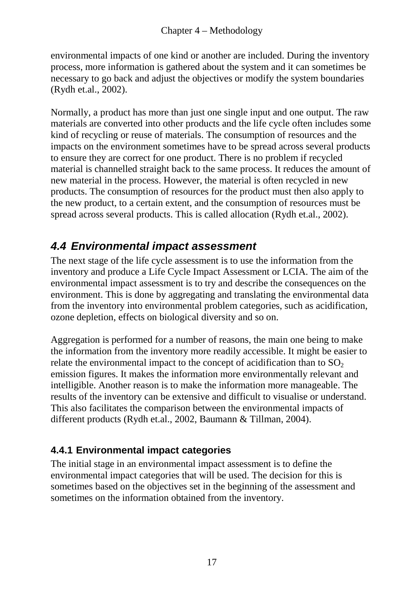environmental impacts of one kind or another are included. During the inventory process, more information is gathered about the system and it can sometimes be necessary to go back and adjust the objectives or modify the system boundaries (Rydh et.al., 2002).

Normally, a product has more than just one single input and one output. The raw materials are converted into other products and the life cycle often includes some kind of recycling or reuse of materials. The consumption of resources and the impacts on the environment sometimes have to be spread across several products to ensure they are correct for one product. There is no problem if recycled material is channelled straight back to the same process. It reduces the amount of new material in the process. However, the material is often recycled in new products. The consumption of resources for the product must then also apply to the new product, to a certain extent, and the consumption of resources must be spread across several products. This is called allocation (Rydh et.al., 2002).

### **4.4 Environmental impact assessment**

The next stage of the life cycle assessment is to use the information from the inventory and produce a Life Cycle Impact Assessment or LCIA. The aim of the environmental impact assessment is to try and describe the consequences on the environment. This is done by aggregating and translating the environmental data from the inventory into environmental problem categories, such as acidification, ozone depletion, effects on biological diversity and so on.

Aggregation is performed for a number of reasons, the main one being to make the information from the inventory more readily accessible. It might be easier to relate the environmental impact to the concept of acidification than to  $SO<sub>2</sub>$ emission figures. It makes the information more environmentally relevant and intelligible. Another reason is to make the information more manageable. The results of the inventory can be extensive and difficult to visualise or understand. This also facilitates the comparison between the environmental impacts of different products (Rydh et.al., 2002, Baumann & Tillman, 2004).

### **4.4.1 Environmental impact categories**

The initial stage in an environmental impact assessment is to define the environmental impact categories that will be used. The decision for this is sometimes based on the objectives set in the beginning of the assessment and sometimes on the information obtained from the inventory.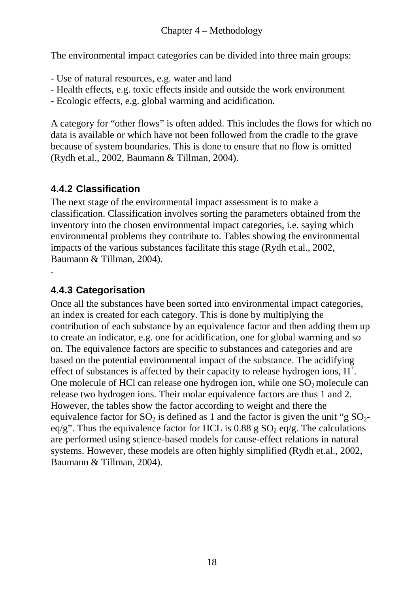The environmental impact categories can be divided into three main groups:

- Use of natural resources, e.g. water and land
- Health effects, e.g. toxic effects inside and outside the work environment
- Ecologic effects, e.g. global warming and acidification.

A category for "other flows" is often added. This includes the flows for which no data is available or which have not been followed from the cradle to the grave because of system boundaries. This is done to ensure that no flow is omitted (Rydh et.al., 2002, Baumann & Tillman, 2004).

### **4.4.2 Classification**

The next stage of the environmental impact assessment is to make a classification. Classification involves sorting the parameters obtained from the inventory into the chosen environmental impact categories, i.e. saying which environmental problems they contribute to. Tables showing the environmental impacts of the various substances facilitate this stage (Rydh et.al., 2002, Baumann & Tillman, 2004).

### **4.4.3 Categorisation**

.

Once all the substances have been sorted into environmental impact categories, an index is created for each category. This is done by multiplying the contribution of each substance by an equivalence factor and then adding them up to create an indicator, e.g. one for acidification, one for global warming and so on. The equivalence factors are specific to substances and categories and are based on the potential environmental impact of the substance. The acidifying effect of substances is affected by their capacity to release hydrogen ions,  $H^{\dagger}$ . One molecule of HCl can release one hydrogen ion, while one SO<sub>2</sub> molecule can release two hydrogen ions. Their molar equivalence factors are thus 1 and 2. However, the tables show the factor according to weight and there the equivalence factor for  $SO_2$  is defined as 1 and the factor is given the unit "g  $SO_2$ eq/g". Thus the equivalence factor for HCL is 0.88 g SO<sub>2</sub> eq/g. The calculations are performed using science-based models for cause-effect relations in natural systems. However, these models are often highly simplified (Rydh et.al., 2002, Baumann & Tillman, 2004).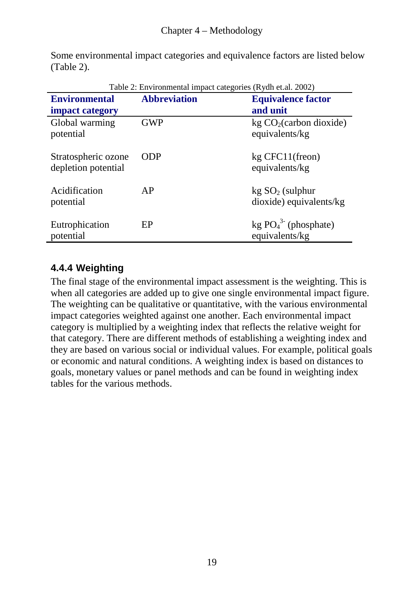Some environmental impact categories and equivalence factors are listed below (Table 2).

| Table 2: Environmental impact categories (Rydh et.al. 2002) |                     |                                                       |  |
|-------------------------------------------------------------|---------------------|-------------------------------------------------------|--|
| <b>Environmental</b>                                        | <b>Abbreviation</b> | <b>Equivalence factor</b>                             |  |
| <b>impact category</b>                                      |                     | and unit                                              |  |
| Global warming<br>potential                                 | <b>GWP</b>          | kg CO <sub>2</sub> (carbon dioxide)<br>equivalents/kg |  |
| Stratospheric ozone<br>depletion potential                  | <b>ODP</b>          | $kg$ CFC11(freon)<br>equivalents/kg                   |  |
| Acidification<br>potential                                  | AP                  | $kg SO2$ (sulphur<br>dioxide) equivalents/kg          |  |
| Eutrophication<br>potential                                 | EP                  | $kg PO43$ (phosphate)<br>equivalents/kg               |  |

**4.4.4 Weighting** 

The final stage of the environmental impact assessment is the weighting. This is when all categories are added up to give one single environmental impact figure. The weighting can be qualitative or quantitative, with the various environmental impact categories weighted against one another. Each environmental impact category is multiplied by a weighting index that reflects the relative weight for that category. There are different methods of establishing a weighting index and they are based on various social or individual values. For example, political goals or economic and natural conditions. A weighting index is based on distances to goals, monetary values or panel methods and can be found in weighting index tables for the various methods.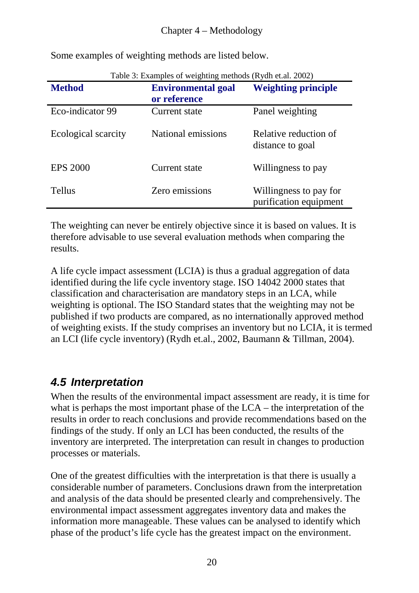| Table 3: Examples of weighting methods (Rydh et.al. 2002) |                                           |                                                  |  |
|-----------------------------------------------------------|-------------------------------------------|--------------------------------------------------|--|
| <b>Method</b>                                             | <b>Environmental goal</b><br>or reference | <b>Weighting principle</b>                       |  |
| Eco-indicator 99                                          | Current state                             | Panel weighting                                  |  |
| Ecological scarcity                                       | National emissions                        | Relative reduction of<br>distance to goal        |  |
| <b>EPS 2000</b>                                           | Current state                             | Willingness to pay                               |  |
| <b>Tellus</b>                                             | Zero emissions                            | Willingness to pay for<br>purification equipment |  |

Some examples of weighting methods are listed below.

The weighting can never be entirely objective since it is based on values. It is therefore advisable to use several evaluation methods when comparing the results.

A life cycle impact assessment (LCIA) is thus a gradual aggregation of data identified during the life cycle inventory stage. ISO 14042 2000 states that classification and characterisation are mandatory steps in an LCA, while weighting is optional. The ISO Standard states that the weighting may not be published if two products are compared, as no internationally approved method of weighting exists. If the study comprises an inventory but no LCIA, it is termed an LCI (life cycle inventory) (Rydh et.al., 2002, Baumann & Tillman, 2004).

### **4.5 Interpretation**

When the results of the environmental impact assessment are ready, it is time for what is perhaps the most important phase of the LCA – the interpretation of the results in order to reach conclusions and provide recommendations based on the findings of the study. If only an LCI has been conducted, the results of the inventory are interpreted. The interpretation can result in changes to production processes or materials.

One of the greatest difficulties with the interpretation is that there is usually a considerable number of parameters. Conclusions drawn from the interpretation and analysis of the data should be presented clearly and comprehensively. The environmental impact assessment aggregates inventory data and makes the information more manageable. These values can be analysed to identify which phase of the product's life cycle has the greatest impact on the environment.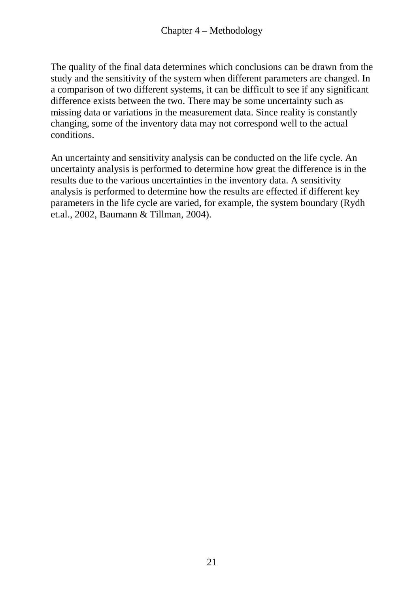The quality of the final data determines which conclusions can be drawn from the study and the sensitivity of the system when different parameters are changed. In a comparison of two different systems, it can be difficult to see if any significant difference exists between the two. There may be some uncertainty such as missing data or variations in the measurement data. Since reality is constantly changing, some of the inventory data may not correspond well to the actual conditions.

An uncertainty and sensitivity analysis can be conducted on the life cycle. An uncertainty analysis is performed to determine how great the difference is in the results due to the various uncertainties in the inventory data. A sensitivity analysis is performed to determine how the results are effected if different key parameters in the life cycle are varied, for example, the system boundary (Rydh et.al., 2002, Baumann & Tillman, 2004).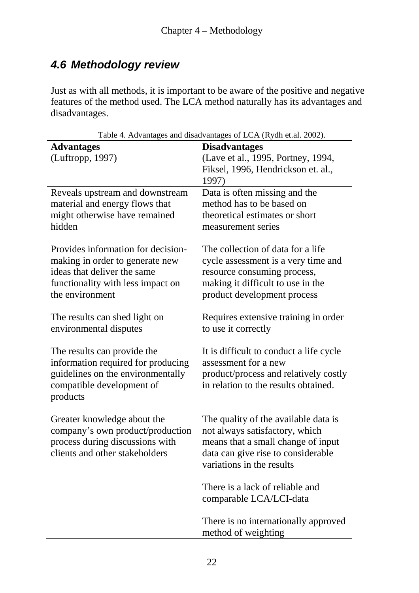### **4.6 Methodology review**

Just as with all methods, it is important to be aware of the positive and negative features of the method used. The LCA method naturally has its advantages and disadvantages.

| <b>Advantages</b>                                                                                                                                            | <b>Disadvantages</b>                                                                                                                                                            |
|--------------------------------------------------------------------------------------------------------------------------------------------------------------|---------------------------------------------------------------------------------------------------------------------------------------------------------------------------------|
| (Luftropp, 1997)                                                                                                                                             | (Lave et al., 1995, Portney, 1994,                                                                                                                                              |
|                                                                                                                                                              | Fiksel, 1996, Hendrickson et. al.,                                                                                                                                              |
|                                                                                                                                                              | 1997)                                                                                                                                                                           |
| Reveals upstream and downstream                                                                                                                              | Data is often missing and the                                                                                                                                                   |
| material and energy flows that                                                                                                                               | method has to be based on                                                                                                                                                       |
| might otherwise have remained                                                                                                                                | theoretical estimates or short                                                                                                                                                  |
| hidden                                                                                                                                                       | measurement series                                                                                                                                                              |
| Provides information for decision-<br>making in order to generate new<br>ideas that deliver the same<br>functionality with less impact on<br>the environment | The collection of data for a life<br>cycle assessment is a very time and<br>resource consuming process,<br>making it difficult to use in the<br>product development process     |
| The results can shed light on<br>environmental disputes                                                                                                      | Requires extensive training in order<br>to use it correctly                                                                                                                     |
| The results can provide the<br>information required for producing<br>guidelines on the environmentally<br>compatible development of<br>products              | It is difficult to conduct a life cycle<br>assessment for a new<br>product/process and relatively costly<br>in relation to the results obtained.                                |
| Greater knowledge about the<br>company's own product/production<br>process during discussions with<br>clients and other stakeholders                         | The quality of the available data is<br>not always satisfactory, which<br>means that a small change of input<br>data can give rise to considerable<br>variations in the results |
|                                                                                                                                                              | There is a lack of reliable and<br>comparable LCA/LCI-data                                                                                                                      |
|                                                                                                                                                              | There is no internationally approved<br>method of weighting                                                                                                                     |

Table 4. Advantages and disadvantages of LCA (Rydh et.al. 2002).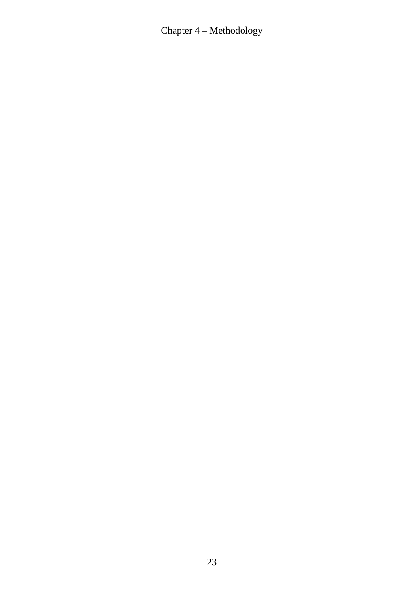Chapter 4 – Methodology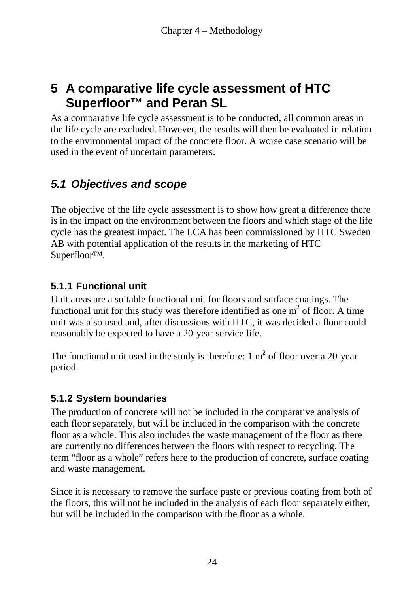### **5 A comparative life cycle assessment of HTC Superfloor™ and Peran SL**

As a comparative life cycle assessment is to be conducted, all common areas in the life cycle are excluded. However, the results will then be evaluated in relation to the environmental impact of the concrete floor. A worse case scenario will be used in the event of uncertain parameters.

### **5.1 Objectives and scope**

The objective of the life cycle assessment is to show how great a difference there is in the impact on the environment between the floors and which stage of the life cycle has the greatest impact. The LCA has been commissioned by HTC Sweden AB with potential application of the results in the marketing of HTC Superfloor™.

### **5.1.1 Functional unit**

Unit areas are a suitable functional unit for floors and surface coatings. The functional unit for this study was therefore identified as one  $m<sup>2</sup>$  of floor. A time unit was also used and, after discussions with HTC, it was decided a floor could reasonably be expected to have a 20-year service life.

The functional unit used in the study is therefore: 1  $m<sup>2</sup>$  of floor over a 20-year period.

### **5.1.2 System boundaries**

The production of concrete will not be included in the comparative analysis of each floor separately, but will be included in the comparison with the concrete floor as a whole. This also includes the waste management of the floor as there are currently no differences between the floors with respect to recycling. The term "floor as a whole" refers here to the production of concrete, surface coating and waste management.

Since it is necessary to remove the surface paste or previous coating from both of the floors, this will not be included in the analysis of each floor separately either, but will be included in the comparison with the floor as a whole.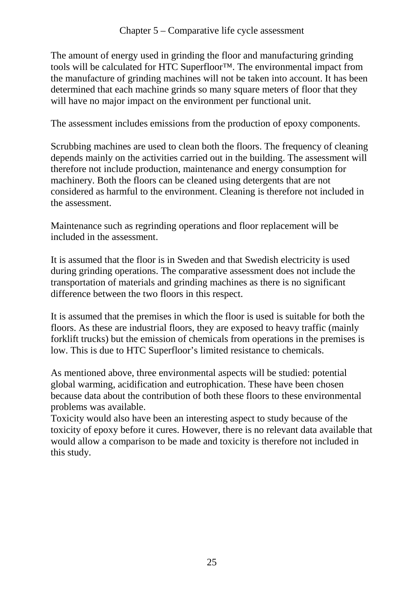The amount of energy used in grinding the floor and manufacturing grinding tools will be calculated for HTC Superfloor™. The environmental impact from the manufacture of grinding machines will not be taken into account. It has been determined that each machine grinds so many square meters of floor that they will have no major impact on the environment per functional unit.

The assessment includes emissions from the production of epoxy components.

Scrubbing machines are used to clean both the floors. The frequency of cleaning depends mainly on the activities carried out in the building. The assessment will therefore not include production, maintenance and energy consumption for machinery. Both the floors can be cleaned using detergents that are not considered as harmful to the environment. Cleaning is therefore not included in the assessment.

Maintenance such as regrinding operations and floor replacement will be included in the assessment.

It is assumed that the floor is in Sweden and that Swedish electricity is used during grinding operations. The comparative assessment does not include the transportation of materials and grinding machines as there is no significant difference between the two floors in this respect.

It is assumed that the premises in which the floor is used is suitable for both the floors. As these are industrial floors, they are exposed to heavy traffic (mainly forklift trucks) but the emission of chemicals from operations in the premises is low. This is due to HTC Superfloor's limited resistance to chemicals.

As mentioned above, three environmental aspects will be studied: potential global warming, acidification and eutrophication. These have been chosen because data about the contribution of both these floors to these environmental problems was available.

Toxicity would also have been an interesting aspect to study because of the toxicity of epoxy before it cures. However, there is no relevant data available that would allow a comparison to be made and toxicity is therefore not included in this study.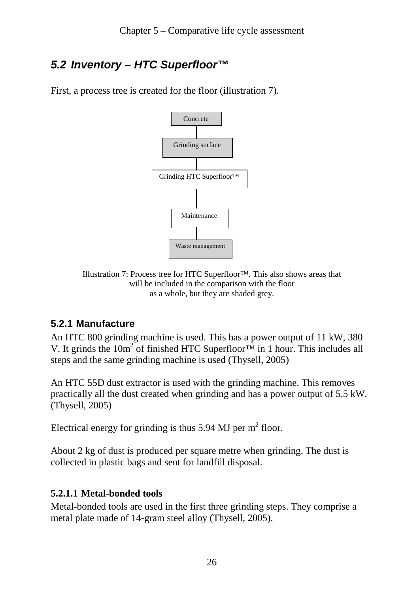### **5.2 Inventory – HTC Superfloor™**

First, a process tree is created for the floor (illustration 7).



Illustration 7: Process tree for HTC Superfloor™. This also shows areas that will be included in the comparison with the floor as a whole, but they are shaded grey.

### **5.2.1 Manufacture**

An HTC 800 grinding machine is used. This has a power output of 11 kW, 380 V. It grinds the  $10m^2$  of finished HTC Superfloor<sup>TM</sup> in 1 hour. This includes all steps and the same grinding machine is used (Thysell, 2005)

An HTC 55D dust extractor is used with the grinding machine. This removes practically all the dust created when grinding and has a power output of 5.5 kW. (Thysell, 2005)

Electrical energy for grinding is thus 5.94 MJ per  $m^2$  floor.

About 2 kg of dust is produced per square metre when grinding. The dust is collected in plastic bags and sent for landfill disposal.

#### **5.2.1.1 Metal-bonded tools**

Metal-bonded tools are used in the first three grinding steps. They comprise a metal plate made of 14-gram steel alloy (Thysell, 2005).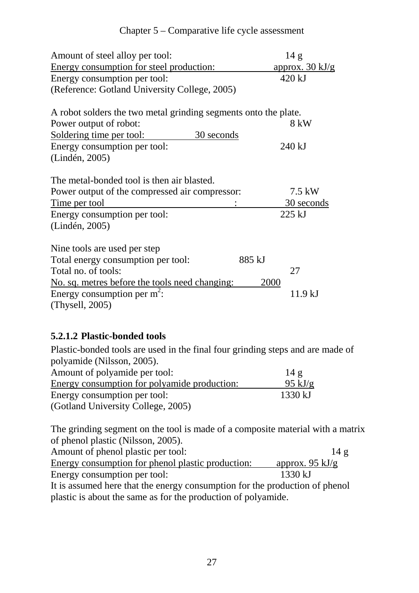| Amount of steel alloy per tool:                                 | 14 g                   |
|-----------------------------------------------------------------|------------------------|
| Energy consumption for steel production:                        | <u>approx. 30 kJ/g</u> |
| Energy consumption per tool:                                    | 420 kJ                 |
| (Reference: Gotland University College, 2005)                   |                        |
| A robot solders the two metal grinding segments onto the plate. |                        |
| Power output of robot:                                          | 8 kW                   |
| Soldering time per tool:<br>30 seconds                          |                        |
| Energy consumption per tool:                                    | 240 kJ                 |
| (Lindén, 2005)                                                  |                        |
| The metal-bonded tool is then air blasted.                      |                        |
| Power output of the compressed air compressor:                  | $7.5$ kW               |
| <u>Time</u> per tool                                            | 30 seconds             |
| Energy consumption per tool:                                    | 225 kJ                 |
| (Lindén, 2005)                                                  |                        |
| Nine tools are used per step                                    |                        |
| Total energy consumption per tool:<br>885 kJ                    |                        |
| Total no. of tools:                                             | 27                     |
| No. sq. metres before the tools need changing:                  | 2000                   |
| Energy consumption per $m^2$ :                                  | 11.9 kJ                |
| (Thysell, 2005)                                                 |                        |

#### Chapter 5 – Comparative life cycle assessment

#### **5.2.1.2 Plastic-bonded tools**

Plastic-bonded tools are used in the final four grinding steps and are made of polyamide (Nilsson, 2005).

| Amount of polyamide per tool:                | 14g                |
|----------------------------------------------|--------------------|
| Energy consumption for polyamide production: | $95 \text{ kJ/g}$  |
| Energy consumption per tool:                 | $1330 \mathrm{kJ}$ |
| (Gotland University College, 2005)           |                    |

The grinding segment on the tool is made of a composite material with a matrix of phenol plastic (Nilsson, 2005).

| Amount of phenol plastic per tool:                | 14 g                      |
|---------------------------------------------------|---------------------------|
| Energy consumption for phenol plastic production: | approx. $95 \text{ kJ/g}$ |
| Energy consumption per tool:                      | $1330 \mathrm{kJ}$        |

It is assumed here that the energy consumption for the production of phenol plastic is about the same as for the production of polyamide.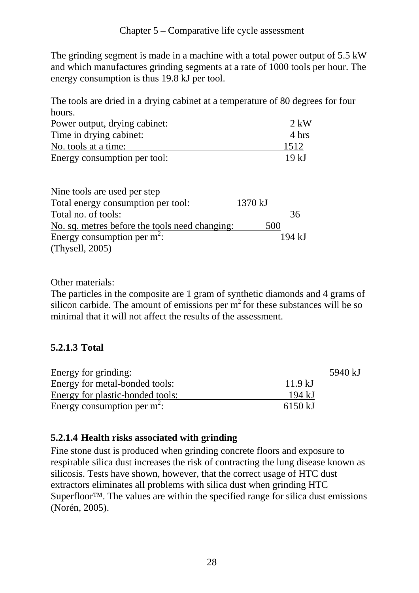The grinding segment is made in a machine with a total power output of 5.5 kW and which manufactures grinding segments at a rate of 1000 tools per hour. The energy consumption is thus 19.8 kJ per tool.

The tools are dried in a drying cabinet at a temperature of 80 degrees for four hours.

| Power output, drying cabinet: | 2 kW  |
|-------------------------------|-------|
| Time in drying cabinet:       | 4 hrs |
| No. tools at a time:          | 1512  |
| Energy consumption per tool:  | 19 kJ |

| Nine tools are used per step                   |         |                  |
|------------------------------------------------|---------|------------------|
| Total energy consumption per tool:             | 1370 kJ |                  |
| Total no. of tools:                            |         | 36               |
| No. sq. metres before the tools need changing: | 500     |                  |
| Energy consumption per $m^2$ :                 |         | $194 \text{ kJ}$ |
| (Thysell, 2005)                                |         |                  |

Other materials:

The particles in the composite are 1 gram of synthetic diamonds and 4 grams of silicon carbide. The amount of emissions per  $m<sup>2</sup>$  for these substances will be so minimal that it will not affect the results of the assessment.

#### **5.2.1.3 Total**

| Energy for grinding:             |                  | 5940 kJ |
|----------------------------------|------------------|---------|
| Energy for metal-bonded tools:   | 11.9 kJ          |         |
| Energy for plastic-bonded tools: | $194 \text{ kJ}$ |         |
| Energy consumption per $m^2$ :   | 6150 kJ          |         |

#### **5.2.1.4 Health risks associated with grinding**

Fine stone dust is produced when grinding concrete floors and exposure to respirable silica dust increases the risk of contracting the lung disease known as silicosis. Tests have shown, however, that the correct usage of HTC dust extractors eliminates all problems with silica dust when grinding HTC Superfloor™. The values are within the specified range for silica dust emissions (Norén, 2005).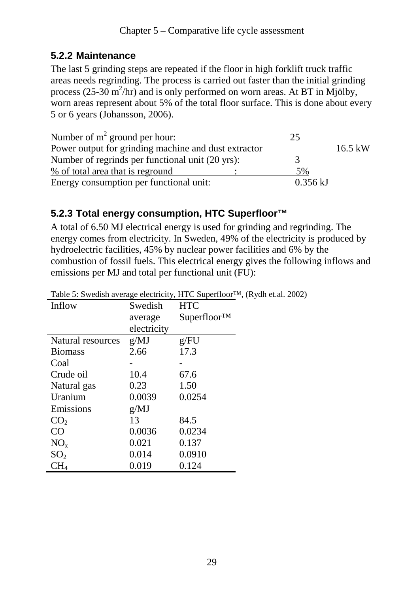### **5.2.2 Maintenance**

The last 5 grinding steps are repeated if the floor in high forklift truck traffic areas needs regrinding. The process is carried out faster than the initial grinding process (25-30  $\text{m}^2/\text{hr}$ ) and is only performed on worn areas. At BT in Mjölby, worn areas represent about 5% of the total floor surface. This is done about every 5 or 6 years (Johansson, 2006).

| Number of $m^2$ ground per hour:                     | 25                 |           |
|------------------------------------------------------|--------------------|-----------|
| Power output for grinding machine and dust extractor |                    | $16.5$ kW |
| Number of regrinds per functional unit (20 yrs):     |                    |           |
| % of total area that is reground                     | 5%                 |           |
| Energy consumption per functional unit:              | $0.356 \text{ kJ}$ |           |

### **5.2.3 Total energy consumption, HTC Superfloor™**

A total of 6.50 MJ electrical energy is used for grinding and regrinding. The energy comes from electricity. In Sweden, 49% of the electricity is produced by hydroelectric facilities, 45% by nuclear power facilities and 6% by the combustion of fossil fuels. This electrical energy gives the following inflows and emissions per MJ and total per functional unit (FU):

| Inflow                   | Swedish     | <b>HTC</b>        |
|--------------------------|-------------|-------------------|
|                          | average     | $Superfloor^{TM}$ |
|                          | electricity |                   |
| <b>Natural resources</b> | g/MJ        | $g$ /FU           |
| <b>Biomass</b>           | 2.66        | 17.3              |
| Coal                     |             |                   |
| Crude oil                | 10.4        | 67.6              |
| Natural gas              | 0.23        | 1.50              |
| Uranium                  | 0.0039      | 0.0254            |
| Emissions                | g/MJ        |                   |
| CO <sub>2</sub>          | 13          | 84.5              |
| CO <sub></sub>           | 0.0036      | 0.0234            |
| NO <sub>x</sub>          | 0.021       | 0.137             |
| SO <sub>2</sub>          | 0.014       | 0.0910            |
| $\rm CH_{4}$             | 0.019       | 0.124             |

Table 5: Swedish average electricity, HTC Superfloor™, (Rydh et.al. 2002)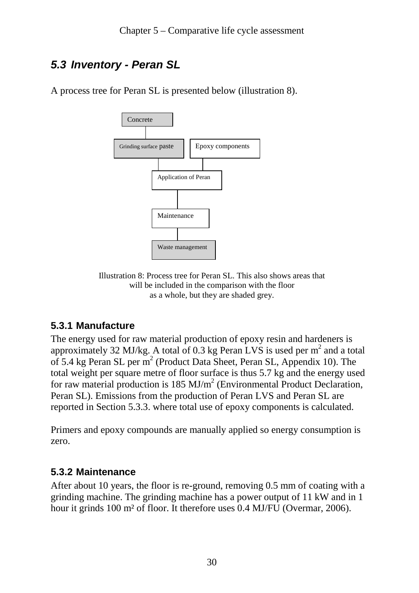## **5.3 Inventory - Peran SL**

A process tree for Peran SL is presented below (illustration 8).





### **5.3.1 Manufacture**

The energy used for raw material production of epoxy resin and hardeners is approximately 32 MJ/kg. A total of 0.3 kg Peran LVS is used per  $m^2$  and a total of 5.4 kg Peran SL per  $m^2$  (Product Data Sheet, Peran SL, Appendix 10). The total weight per square metre of floor surface is thus 5.7 kg and the energy used for raw material production is  $185 \text{ MJ/m}^2$  (Environmental Product Declaration, Peran SL). Emissions from the production of Peran LVS and Peran SL are reported in Section 5.3.3. where total use of epoxy components is calculated.

Primers and epoxy compounds are manually applied so energy consumption is zero.

#### **5.3.2 Maintenance**

After about 10 years, the floor is re-ground, removing 0.5 mm of coating with a grinding machine. The grinding machine has a power output of 11 kW and in 1 hour it grinds 100 m² of floor. It therefore uses 0.4 MJ/FU (Overmar, 2006).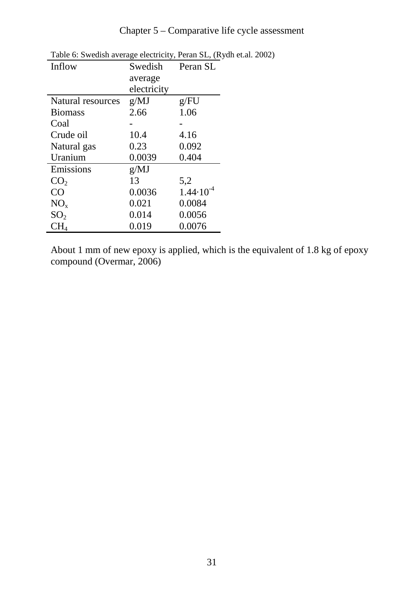| Inflow                   | Swedish     | Peran SL             |
|--------------------------|-------------|----------------------|
|                          | average     |                      |
|                          | electricity |                      |
| <b>Natural resources</b> | g/MJ        | $g$ /FU              |
| <b>Biomass</b>           | 2.66        | 1.06                 |
| Coal                     |             |                      |
| Crude oil                | 10.4        | 4.16                 |
| Natural gas              | 0.23        | 0.092                |
| Uranium                  | 0.0039      | 0.404                |
| Emissions                | g/MJ        |                      |
| CO <sub>2</sub>          | 13          | 5,2                  |
| CO <sub></sub>           | 0.0036      | $1.44 \cdot 10^{-4}$ |
| $NO_{x}$                 | 0.021       | 0.0084               |
| SO <sub>2</sub>          | 0.014       | 0.0056               |
|                          | 0.019       | 0.0076               |

|         | Table 6: Swedish average electricity, Peran SL, (Rydh et.al. 2002) |  |
|---------|--------------------------------------------------------------------|--|
| Inflavi | Swadish Daron SI                                                   |  |

About 1 mm of new epoxy is applied, which is the equivalent of 1.8 kg of epoxy compound (Overmar, 2006)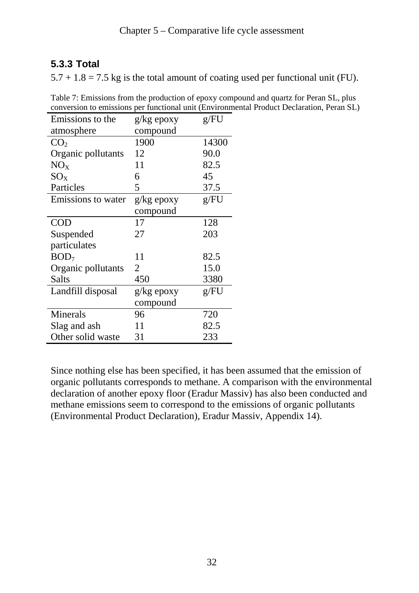### **5.3.3 Total**

 $5.7 + 1.8 = 7.5$  kg is the total amount of coating used per functional unit (FU).

| Emissions to the   | g/kg epoxy   | g/FU  |
|--------------------|--------------|-------|
| atmosphere         | compound     |       |
| CO <sub>2</sub>    | 1900         | 14300 |
| Organic pollutants | 12           | 90.0  |
| NO <sub>x</sub>    | 11           | 82.5  |
| $SO_{X}$           | 6            | 45    |
| Particles          | 5            | 37.5  |
| Emissions to water | $g/kg$ epoxy | g/FU  |
|                    | compound     |       |
| <b>COD</b>         | 17           | 128   |
| Suspended          | 27           | 203   |
| particulates       |              |       |
| BOD <sub>7</sub>   | 11           | 82.5  |
| Organic pollutants | 2            | 15.0  |
| Salts              | 450          | 3380  |
| Landfill disposal  | g/kg epoxy   | g/FU  |
|                    | compound     |       |
| Minerals           | 96           | 720   |
| Slag and ash       | 11           | 82.5  |
| Other solid waste  | 31           | 233   |

Table 7: Emissions from the production of epoxy compound and quartz for Peran SL, plus conversion to emissions per functional unit (Environmental Product Declaration, Peran SL)

Since nothing else has been specified, it has been assumed that the emission of organic pollutants corresponds to methane. A comparison with the environmental declaration of another epoxy floor (Eradur Massiv) has also been conducted and methane emissions seem to correspond to the emissions of organic pollutants (Environmental Product Declaration), Eradur Massiv, Appendix 14).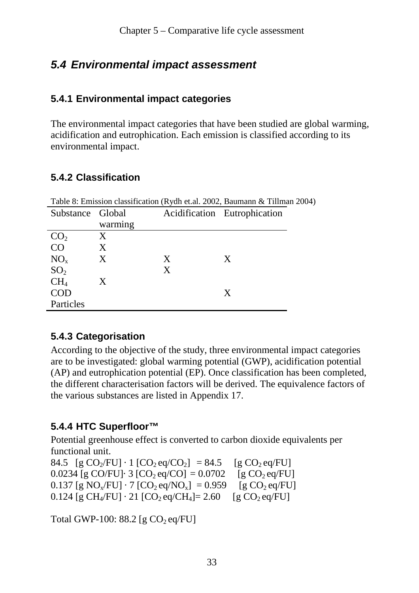### **5.4 Environmental impact assessment**

#### **5.4.1 Environmental impact categories**

The environmental impact categories that have been studied are global warming, acidification and eutrophication. Each emission is classified according to its environmental impact.

#### **5.4.2 Classification**

| Table 8: Emission classification (Rydh et.al. 2002, Baumann & Tillman 2004) |         |   |                              |  |
|-----------------------------------------------------------------------------|---------|---|------------------------------|--|
| Substance Global                                                            |         |   | Acidification Eutrophication |  |
|                                                                             | warming |   |                              |  |
| CO <sub>2</sub>                                                             | X       |   |                              |  |
| CO                                                                          | X       |   |                              |  |
| NO <sub>x</sub>                                                             | X       | X | X                            |  |
| SO <sub>2</sub>                                                             |         | X |                              |  |
| CH <sub>4</sub>                                                             | X       |   |                              |  |
| <b>COD</b>                                                                  |         |   | X                            |  |
| Particles                                                                   |         |   |                              |  |

#### **5.4.3 Categorisation**

According to the objective of the study, three environmental impact categories are to be investigated: global warming potential (GWP), acidification potential (AP) and eutrophication potential (EP). Once classification has been completed, the different characterisation factors will be derived. The equivalence factors of the various substances are listed in Appendix 17.

### **5.4.4 HTC Superfloor™**

Potential greenhouse effect is converted to carbon dioxide equivalents per functional unit.

84.5 [g CO<sub>2</sub>/FU] · 1 [CO<sub>2</sub> eq/CO<sub>2</sub>] = 84.5 [g CO<sub>2</sub> eq/FU]  $0.0234$  [g CO/FU] $\cdot$  3 [CO<sub>2</sub> eq/CO] = 0.0702 [g CO<sub>2</sub> eq/FU] 0.137 [g NO<sub>x</sub>/FU] · 7 [CO<sub>2</sub> eq/NO<sub>x</sub>] = 0.959 [g CO<sub>2</sub> eq/FU]  $0.124$  [g CH<sub>4</sub>/FU] · 21 [CO<sub>2</sub> eq/CH<sub>4</sub>]= 2.60 [g CO<sub>2</sub> eq/FU]

Total GWP-100:  $88.2$  [g CO<sub>2</sub> eq/FU]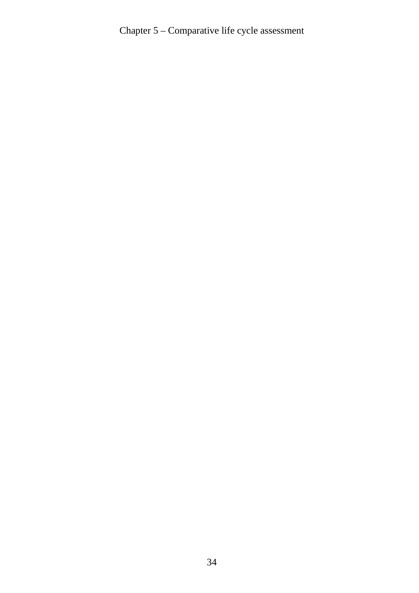Chapter 5 – Comparative life cycle assessment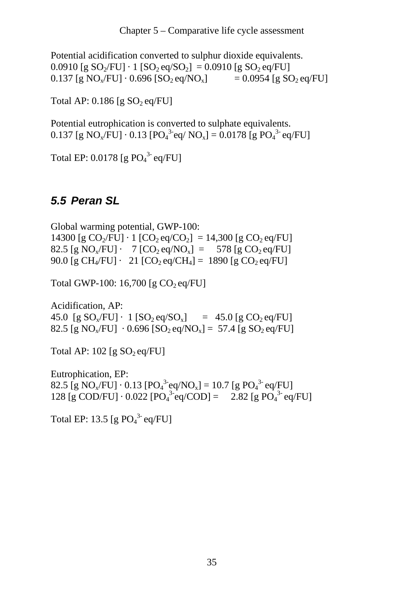Potential acidification converted to sulphur dioxide equivalents.  $0.0910$  [g SO<sub>2</sub>/FU] · 1 [SO<sub>2</sub> eq/SO<sub>2</sub>] = 0.0910 [g SO<sub>2</sub> eq/FU]  $0.137$  [g NO<sub>x</sub>/FU]  $\cdot$  0.696 [SO<sub>2</sub> eq/NO<sub>x</sub>] = 0.0954 [g SO<sub>2</sub> eq/FU]

Total AP:  $0.186$  [g SO<sub>2</sub> eq/FU]

Potential eutrophication is converted to sulphate equivalents. 0.137 [g NO<sub>x</sub>/FU]  $\cdot$  0.13 [PO<sub>4</sub><sup>3-</sup>eq/NO<sub>x</sub>] = 0.0178 [g PO<sub>4</sub><sup>3-</sup>eq/FU]

Total EP:  $0.0178$  [g  $PO<sub>4</sub><sup>3</sup>$  eq/FU]

### **5.5 Peran SL**

Global warming potential, GWP-100: 14300 [g CO<sub>2</sub>/FU]  $\cdot$  1 [CO<sub>2</sub> eq/CO<sub>2</sub>] = 14,300 [g CO<sub>2</sub> eq/FU]  $82.5$  [g NO<sub>x</sub>/FU] · 7 [CO<sub>2</sub> eq/NO<sub>x</sub>] = 578 [g CO<sub>2</sub> eq/FU] 90.0 [g CH<sub>4</sub>/FU] · 21 [CO<sub>2</sub> eq/CH<sub>4</sub>] = 1890 [g CO<sub>2</sub> eq/FU]

Total GWP-100: 16,700  $[g CO<sub>2</sub> eq/FU]$ 

Acidification, AP: 45.0  $\left[ \frac{9}{2} \text{SO}_x/\text{FU} \right] \cdot 1 \left[ \text{SO}_2 \text{eq}/\text{SO}_x \right] = 45.0 \left[ \frac{9}{2} \text{CO}_2 \text{eq}/\text{FU} \right]$  $82.5$  [g NO<sub>x</sub>/FU]  $\cdot$  0.696 [SO<sub>2</sub> eq/NO<sub>x</sub>] = 57.4 [g SO<sub>2</sub> eq/FU]

Total AP:  $102$  [g SO<sub>2</sub> eq/FU]

Eutrophication, EP: 82.5 [g NO<sub>x</sub>/FU]  $\cdot$  0.13 [PO<sub>4</sub><sup>3-</sup>eq/NO<sub>x</sub>] = 10.7 [g PO<sub>4</sub><sup>3-</sup>eq/FU] 128 [g COD/FU]  $\cdot$  0.022 [PO<sub>4</sub><sup>3-</sup>eq/COD] = 2.82 [g PO<sub>4</sub><sup>3-</sup>eq/FU]

Total EP: 13.5 [g  $PO<sub>4</sub><sup>3</sup>$  eq/FU]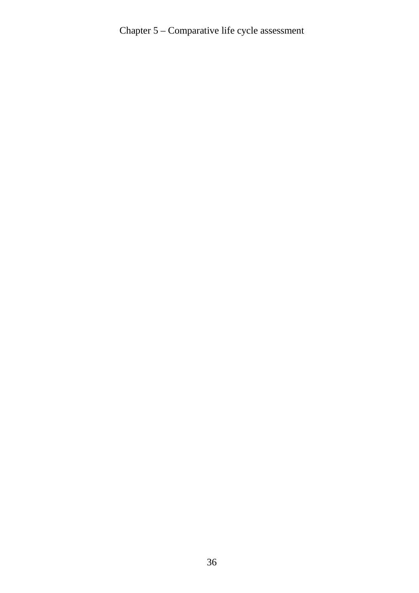Chapter 5 – Comparative life cycle assessment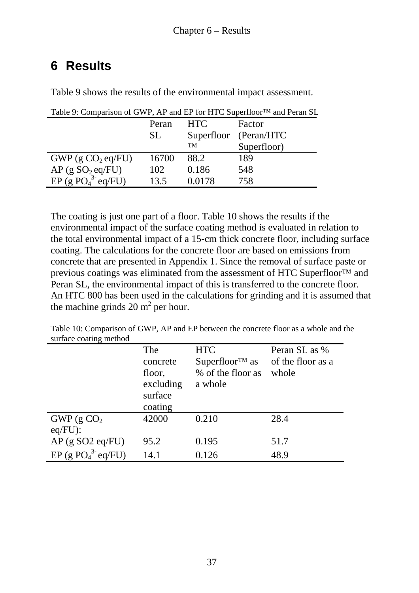## **6 Results**

Table 9 shows the results of the environmental impact assessment.

|                       | Peran     | <b>HTC</b> | Factor                 |
|-----------------------|-----------|------------|------------------------|
|                       | <b>SL</b> |            | Superfloor (Peran/HTC) |
|                       |           | TM         | Superfloor)            |
| $GWP$ (g $CO2$ eq/FU) | 16700     | 88.2       | 189                    |
| $AP$ (g $SO_2$ eq/FU) | 102       | 0.186      | 548                    |
| $EP(g PO43-eq/FU)$    | 13.5      | 0.0178     | 758                    |

Table 9: Comparison of GWP, AP and EP for HTC Superfloor™ and Peran SL

The coating is just one part of a floor. Table 10 shows the results if the environmental impact of the surface coating method is evaluated in relation to the total environmental impact of a 15-cm thick concrete floor, including surface coating. The calculations for the concrete floor are based on emissions from concrete that are presented in Appendix 1. Since the removal of surface paste or previous coatings was eliminated from the assessment of HTC Superfloor™ and Peran SL, the environmental impact of this is transferred to the concrete floor. An HTC 800 has been used in the calculations for grinding and it is assumed that the machine grinds  $20 \text{ m}^2$  per hour.

Table 10: Comparison of GWP, AP and EP between the concrete floor as a whole and the surface coating method

|                                          | The<br>concrete<br>floor,<br>excluding<br>surface<br>coating | <b>HTC</b><br>Superfloor <sup>TM</sup> as<br>% of the floor as<br>a whole | Peran SL as %<br>of the floor as a<br>whole |
|------------------------------------------|--------------------------------------------------------------|---------------------------------------------------------------------------|---------------------------------------------|
| $GWP$ (g $CO2$                           | 42000                                                        | 0.210                                                                     | 28.4                                        |
| $eq$ <i>FU</i> $)$ :                     |                                                              |                                                                           |                                             |
| $AP$ (g SO2 eq/FU)                       | 95.2                                                         | 0.195                                                                     | 51.7                                        |
| EP(g PO <sub>4</sub> <sup>3</sup> eq/FU) | 14.1                                                         | 0.126                                                                     | 48.9                                        |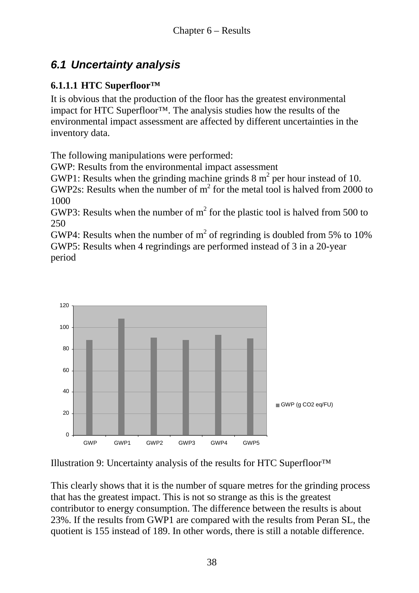### **6.1 Uncertainty analysis**

#### **6.1.1.1 HTC Superfloor™**

It is obvious that the production of the floor has the greatest environmental impact for HTC Superfloor™. The analysis studies how the results of the environmental impact assessment are affected by different uncertainties in the inventory data.

The following manipulations were performed:

GWP: Results from the environmental impact assessment

GWP1: Results when the grinding machine grinds  $8 \text{ m}^2$  per hour instead of 10. GWP2s: Results when the number of  $m^2$  for the metal tool is halved from 2000 to 1000

GWP3: Results when the number of  $m^2$  for the plastic tool is halved from 500 to 250

GWP4: Results when the number of  $m^2$  of regrinding is doubled from 5% to 10% GWP5: Results when 4 regrindings are performed instead of 3 in a 20-year period



Illustration 9: Uncertainty analysis of the results for HTC Superfloor™

This clearly shows that it is the number of square metres for the grinding process that has the greatest impact. This is not so strange as this is the greatest contributor to energy consumption. The difference between the results is about 23%. If the results from GWP1 are compared with the results from Peran SL, the quotient is 155 instead of 189. In other words, there is still a notable difference.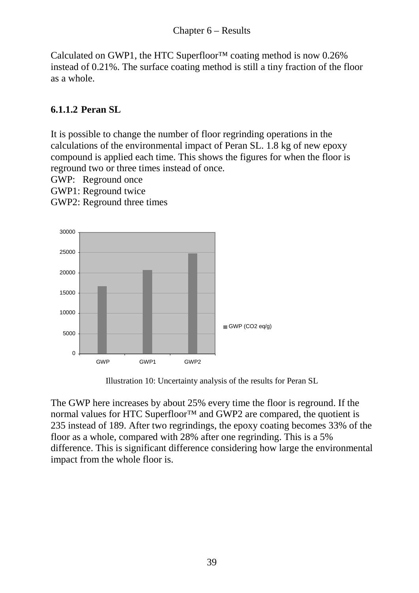Calculated on GWP1, the HTC Superfloor<sup>TM</sup> coating method is now  $0.26\%$ instead of 0.21%. The surface coating method is still a tiny fraction of the floor as a whole.

#### **6.1.1.2 Peran SL**

It is possible to change the number of floor regrinding operations in the calculations of the environmental impact of Peran SL. 1.8 kg of new epoxy compound is applied each time. This shows the figures for when the floor is reground two or three times instead of once.

GWP: Reground once GWP1: Reground twice





Illustration 10: Uncertainty analysis of the results for Peran SL

The GWP here increases by about 25% every time the floor is reground. If the normal values for HTC Superfloor<sup>™</sup> and GWP2 are compared, the quotient is 235 instead of 189. After two regrindings, the epoxy coating becomes 33% of the floor as a whole, compared with 28% after one regrinding. This is a 5% difference. This is significant difference considering how large the environmental impact from the whole floor is.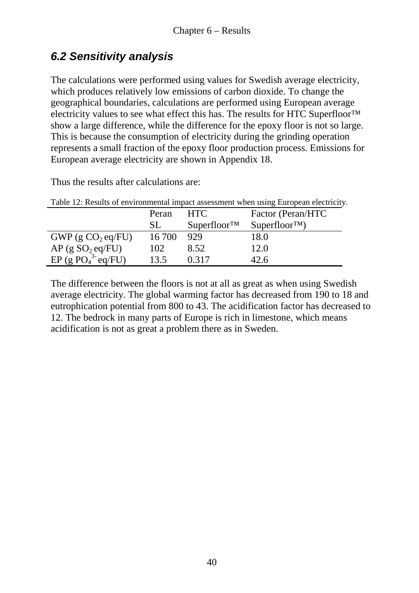### **6.2 Sensitivity analysis**

The calculations were performed using values for Swedish average electricity, which produces relatively low emissions of carbon dioxide. To change the geographical boundaries, calculations are performed using European average electricity values to see what effect this has. The results for HTC Superfloor™ show a large difference, while the difference for the epoxy floor is not so large. This is because the consumption of electricity during the grinding operation represents a small fraction of the epoxy floor production process. Emissions for European average electricity are shown in Appendix 18.

| Table 12: Results of environmental impact assessment when using European electricity. |        |                   |                    |  |
|---------------------------------------------------------------------------------------|--------|-------------------|--------------------|--|
|                                                                                       | Peran  | <b>HTC</b>        | Factor (Peran/HTC) |  |
|                                                                                       | SL     | $Superfloor^{TM}$ | $Superfloor^{TM}$  |  |
| $GWP$ (g $CO2$ eq/FU)                                                                 | 16 700 | 929               | 18.0               |  |
| $AP$ (g $SO_2$ eq/FU)                                                                 | 102    | 8.52              | 12.0               |  |
| $EP$ (g $PO43$ eq/FU)                                                                 | 13.5   | 0.317             | 42 G               |  |

Thus the results after calculations are:

The difference between the floors is not at all as great as when using Swedish average electricity. The global warming factor has decreased from 190 to 18 and eutrophication potential from 800 to 43. The acidification factor has decreased to 12. The bedrock in many parts of Europe is rich in limestone, which means acidification is not as great a problem there as in Sweden.

40